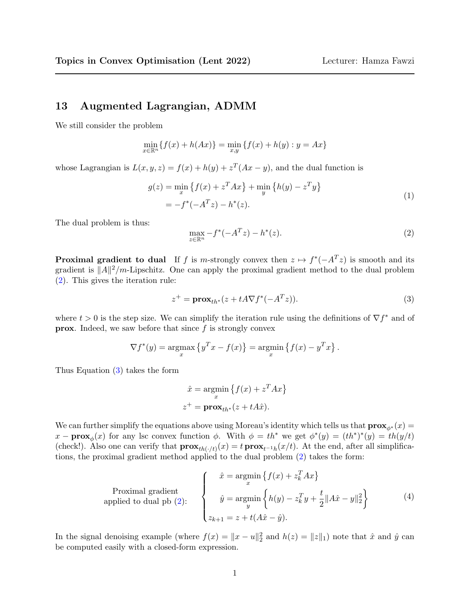## 13 Augmented Lagrangian, ADMM

We still consider the problem

$$
\min_{x \in \mathbb{R}^n} \{ f(x) + h(Ax) \} = \min_{x,y} \{ f(x) + h(y) : y = Ax \}
$$

whose Lagrangian is  $L(x, y, z) = f(x) + h(y) + z^{T}(Ax - y)$ , and the dual function is

<span id="page-0-3"></span>
$$
g(z) = \min_{x} \{ f(x) + z^{T} A x \} + \min_{y} \{ h(y) - z^{T} y \}
$$
  
=  $-f^{*}(-A^{T} z) - h^{*}(z).$  (1)

The dual problem is thus:

<span id="page-0-0"></span>
$$
\max_{z \in \mathbb{R}^n} -f^*(-A^T z) - h^*(z).
$$
 (2)

**Proximal gradient to dual** If f is m-strongly convex then  $z \mapsto f^*(-A^Tz)$  is smooth and its gradient is  $||A||^2/m$ -Lipschitz. One can apply the proximal gradient method to the dual problem [\(2\)](#page-0-0). This gives the iteration rule:

<span id="page-0-1"></span>
$$
z^{+} = \mathbf{prox}_{th^{*}}(z + tA\nabla f^{*}(-A^{T}z)).
$$
\n(3)

where  $t > 0$  is the step size. We can simplify the iteration rule using the definitions of  $\nabla f^*$  and of **prox.** Indeed, we saw before that since  $f$  is strongly convex

$$
\nabla f^*(y) = \operatorname*{argmax}_x \left\{ y^T x - f(x) \right\} = \operatorname*{argmin}_x \left\{ f(x) - y^T x \right\}.
$$

Thus Equation [\(3\)](#page-0-1) takes the form

$$
\hat{x} = \underset{x}{\operatorname{argmin}} \left\{ f(x) + z^T A x \right\}
$$

$$
z^+ = \mathbf{prox}_{th^*}(z + tA\hat{x}).
$$

We can further simplify the equations above using Moreau's identity which tells us that  $\mathbf{prox}_{\phi^*}(x) =$  $x - \mathbf{prox}_{\phi}(x)$  for any lsc convex function  $\phi$ . With  $\phi = th^*$  we get  $\phi^*(y) = (th^*)^*(y) = th(y/t)$ (check!). Also one can verify that  $\mathbf{prox}_{th(\cdot/t)}(x) = t \mathbf{prox}_{t^{-1}h}(x/t)$ . At the end, after all simplifications, the proximal gradient method applied to the dual problem [\(2\)](#page-0-0) takes the form:

<span id="page-0-2"></span>
$$
\text{Proximal gradient} \text{applied to dual pb (2):} \quad\n\begin{cases}\n\hat{x} = \operatorname*{argmin}_{x} \left\{ f(x) + z_k^T A x \right\} \\
\hat{y} = \operatorname*{argmin}_{y} \left\{ h(y) - z_k^T y + \frac{t}{2} \| A\hat{x} - y \|_2^2 \right\} \\
z_{k+1} = z + t(A\hat{x} - \hat{y}).\n\end{cases}\n\tag{4}
$$

In the signal denoising example (where  $f(x) = ||x - u||_2^2$  and  $h(z) = ||z||_1$ ) note that  $\hat{x}$  and  $\hat{y}$  can be computed easily with a closed-form expression.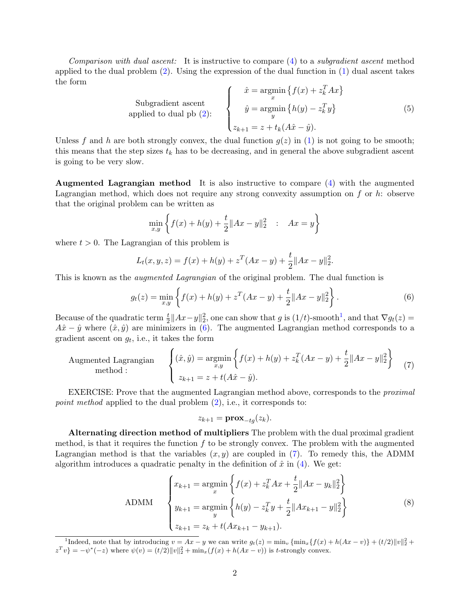*Comparison with dual ascent:* It is instructive to compare  $(4)$  to a *subgradient ascent* method applied to the dual problem  $(2)$ . Using the expression of the dual function in  $(1)$  dual ascent takes the form

Subgradient ascent

\n
$$
\hat{y} = \operatorname*{argmin}_{x} \{ f(x) + z_k^T A x \}
$$
\napplied to dual pb (2):

\n
$$
\hat{y} = \operatorname*{argmin}_{y} \{ h(y) - z_k^T y \}
$$
\n(5)

\n
$$
z_{k+1} = z + t_k (A\hat{x} - \hat{y}).
$$

Unless f and h are both strongly convex, the dual function  $g(z)$  in [\(1\)](#page-0-3) is not going to be smooth; this means that the step sizes  $t_k$  has to be decreasing, and in general the above subgradient ascent is going to be very slow.

Augmented Lagrangian method It is also instructive to compare [\(4\)](#page-0-2) with the augmented Lagrangian method, which does not require any strong convexity assumption on  $f$  or  $h$ : observe that the original problem can be written as

$$
\min_{x,y} \left\{ f(x) + h(y) + \frac{t}{2} \|Ax - y\|_2^2 \ : \ Ax = y \right\}
$$

where  $t > 0$ . The Lagrangian of this problem is

$$
L_t(x, y, z) = f(x) + h(y) + z^T(Ax - y) + \frac{t}{2} ||Ax - y||_2^2.
$$

This is known as the *augmented Lagrangian* of the original problem. The dual function is

<span id="page-1-1"></span>
$$
g_t(z) = \min_{x,y} \left\{ f(x) + h(y) + z^T (Ax - y) + \frac{t}{2} \|Ax - y\|_2^2 \right\}.
$$
 (6)

Because of the quadratic term  $\frac{t}{2}||Ax-y||_2^2$ , one can show that g is  $(1/t)$  $(1/t)$  $(1/t)$ -smooth<sup>1</sup>, and that  $\nabla g_t(z)$  =  $A\hat{x} - \hat{y}$  where  $(\hat{x}, \hat{y})$  are minimizers in [\(6\)](#page-1-1). The augmented Lagrangian method corresponds to a gradient ascent on  $g_t$ , i.e., it takes the form

<span id="page-1-2"></span>Augmented Lagrangian  
method :  

$$
\begin{cases} (\hat{x}, \hat{y}) = \underset{x,y}{\text{argmin}} \left\{ f(x) + h(y) + z_k^T (Ax - y) + \frac{t}{2} \|Ax - y\|_2^2 \right\} \\ z_{k+1} = z + t(A\hat{x} - \hat{y}). \end{cases}
$$
(7)

EXERCISE: Prove that the augmented Lagrangian method above, corresponds to the proximal *point method* applied to the dual problem  $(2)$ , i.e., it corresponds to:

$$
z_{k+1} = \mathbf{prox}_{-tg}(z_k).
$$

Alternating direction method of multipliers The problem with the dual proximal gradient method, is that it requires the function  $f$  to be strongly convex. The problem with the augmented Lagrangian method is that the variables  $(x, y)$  are coupled in [\(7\)](#page-1-2). To remedy this, the ADMM algorithm introduces a quadratic penalty in the definition of  $\hat{x}$  in [\(4\)](#page-0-2). We get:

<span id="page-1-3"></span>
$$
\text{ADMM} \quad\n\begin{cases}\nx_{k+1} = \operatorname*{argmin}_{x} \left\{ f(x) + z_k^T A x + \frac{t}{2} \|A x - y_k\|_2^2 \right\} \\
y_{k+1} = \operatorname*{argmin}_{y} \left\{ h(y) - z_k^T y + \frac{t}{2} \|A x_{k+1} - y\|_2^2 \right\} \\
z_{k+1} = z_k + t(A x_{k+1} - y_{k+1}).\n\end{cases}\n\tag{8}
$$

<span id="page-1-0"></span><sup>&</sup>lt;sup>1</sup>Indeed, note that by introducing  $v = Ax - y$  we can write  $g_t(z) = \min_v \{\min_x \{f(x) + h(Ax - v)\} + (t/2) ||v||_2^2 +$  $z^T v$ } =  $-\psi^*(-z)$  where  $\psi(v) = (t/2) ||v||_2^2 + \min_x(f(x) + h(Ax - v))$  is t-strongly convex.